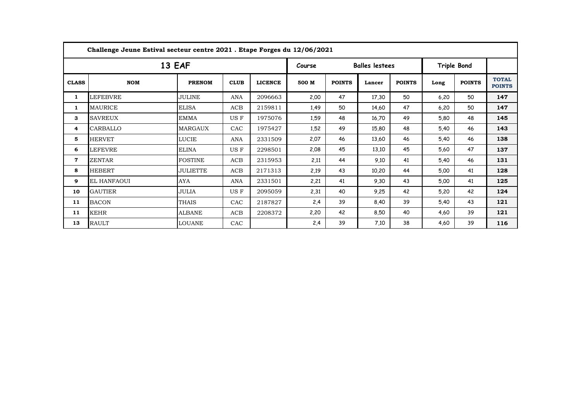| Challenge Jeune Estival secteur centre 2021 . Etape Forges du 12/06/2021 |                    |                 |             |                |       |                       |        |               |                    |               |                               |
|--------------------------------------------------------------------------|--------------------|-----------------|-------------|----------------|-------|-----------------------|--------|---------------|--------------------|---------------|-------------------------------|
| 13 EAF                                                                   |                    |                 |             |                |       | <b>Balles lestees</b> |        |               | <b>Triple Bond</b> |               |                               |
| <b>CLASS</b>                                                             | <b>NOM</b>         | <b>PRENOM</b>   | <b>CLUB</b> | <b>LICENCE</b> | 500 M | <b>POINTS</b>         | Lancer | <b>POINTS</b> | Long               | <b>POINTS</b> | <b>TOTAL</b><br><b>POINTS</b> |
| $\mathbf{1}$                                                             | <b>LEFEBVRE</b>    | JULINE          | ANA         | 2096663        | 2,00  | 47                    | 17,30  | 50            | 6,20               | 50            | 147                           |
| 1                                                                        | <b>MAURICE</b>     | <b>ELISA</b>    | ACB         | 2159811        | 1,49  | 50                    | 14,60  | 47            | 6,20               | 50            | 147                           |
| 3                                                                        | <b>SAVREUX</b>     | <b>EMMA</b>     | US F        | 1975076        | 1,59  | 48                    | 16,70  | 49            | 5,80               | 48            | 145                           |
| 4                                                                        | CARBALLO           | MARGAUX         | CAC         | 1975427        | 1,52  | 49                    | 15,80  | 48            | 5,40               | 46            | 143                           |
| 5                                                                        | HERVET             | LUCIE           | ANA         | 2331509        | 2,07  | 46                    | 13,60  | 46            | 5,40               | 46            | 138                           |
| 6                                                                        | LEFEVRE            | <b>ELINA</b>    | US F        | 2298501        | 2,08  | 45                    | 13,10  | 45            | 5,60               | 47            | 137                           |
| 7                                                                        | <b>ZENTAR</b>      | <b>FOSTINE</b>  | ACB         | 2315953        | 2,11  | 44                    | 9,10   | 41            | 5,40               | 46            | 131                           |
| 8                                                                        | <b>HEBERT</b>      | <b>JULIETTE</b> | ACB         | 2171313        | 2,19  | 43                    | 10,20  | 44            | 5,00               | 41            | 128                           |
| 9                                                                        | <b>EL HANFAOUI</b> | AYA             | ANA         | 2331501        | 2,21  | 41                    | 9,30   | 43            | 5,00               | 41            | 125                           |
| 10                                                                       | <b>GAUTIER</b>     | JULIA           | US F        | 2095059        | 2,31  | 40                    | 9,25   | 42            | 5,20               | 42            | 124                           |
| 11                                                                       | <b>BACON</b>       | <b>THAIS</b>    | CAC         | 2187827        | 2,4   | 39                    | 8,40   | 39            | 5,40               | 43            | 121                           |
| 11                                                                       | <b>KEHR</b>        | <b>ALBANE</b>   | ACB         | 2208372        | 2,20  | 42                    | 8,50   | 40            | 4,60               | 39            | 121                           |
| 13                                                                       | <b>RAULT</b>       | <b>LOUANE</b>   | CAC         |                | 2,4   | 39                    | 7,10   | 38            | 4,60               | 39            | 116                           |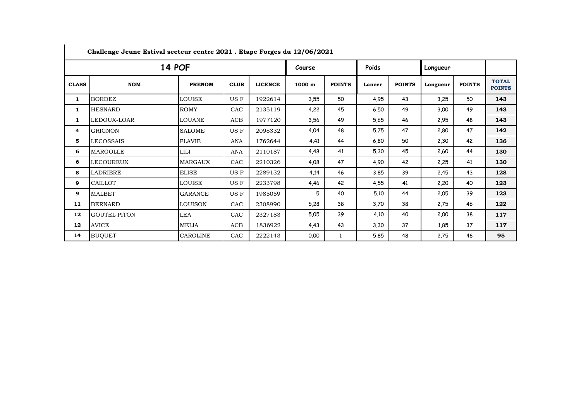| <b>14 POF</b> |                     |                 |             |                |                  | Course        |        | Poids         |          | Longueur      |                               |
|---------------|---------------------|-----------------|-------------|----------------|------------------|---------------|--------|---------------|----------|---------------|-------------------------------|
| <b>CLASS</b>  | <b>NOM</b>          | <b>PRENOM</b>   | <b>CLUB</b> | <b>LICENCE</b> | $1000 \text{ m}$ | <b>POINTS</b> | Lancer | <b>POINTS</b> | Longueur | <b>POINTS</b> | <b>TOTAL</b><br><b>POINTS</b> |
| 1             | <b>BORDEZ</b>       | LOUISE          | US F        | 1922614        | 3,55             | 50            | 4,95   | 43            | 3,25     | 50            | 143                           |
| 1             | <b>HESNARD</b>      | <b>ROMY</b>     | CAC         | 2135119        | 4,22             | 45            | 6,50   | 49            | 3,00     | 49            | 143                           |
| 1             | LEDOUX-LOAR         | <b>LOUANE</b>   | ACB         | 1977120        | 3,56             | 49            | 5,65   | 46            | 2,95     | 48            | 143                           |
| 4             | GRIGNON             | SALOME          | US F        | 2098332        | 4,04             | 48            | 5,75   | 47            | 2,80     | 47            | 142                           |
| 5             | LECOSSAIS           | <b>FLAVIE</b>   | ANA         | 1762644        | 4,41             | 44            | 6,80   | 50            | 2,30     | 42            | 136                           |
| 6             | MARGOLLE            | LILI            | ANA         | 2110187        | 4,48             | 41            | 5,30   | 45            | 2,60     | 44            | 130                           |
| 6             | LECOUREUX           | <b>MARGAUX</b>  | CAC         | 2210326        | 4,08             | 47            | 4,90   | 42            | 2,25     | 41            | 130                           |
| 8             | LADRIERE            | ELISE           | US F        | 2289132        | 4,14             | 46            | 3,85   | 39            | 2,45     | 43            | 128                           |
| 9             | <b>CAILLOT</b>      | LOUISE          | US F        | 2233798        | 4,46             | 42            | 4,55   | 41            | 2,20     | 40            | 123                           |
| 9             | <b>MALBET</b>       | <b>GARANCE</b>  | US F        | 1985059        | 5                | 40            | 5,10   | 44            | 2,05     | 39            | 123                           |
| 11            | <b>BERNARD</b>      | <b>LOUISON</b>  | CAC         | 2308990        | 5,28             | 38            | 3,70   | 38            | 2,75     | 46            | 122                           |
| 12            | <b>GOUTEL PITON</b> | LEA             | CAC         | 2327183        | 5,05             | 39            | 4,10   | 40            | 2,00     | 38            | 117                           |
| 12            | AVICE               | MELIA           | ACB         | 1836922        | 4,43             | 43            | 3,30   | 37            | 1,85     | 37            | 117                           |
| 14            | <b>BUQUET</b>       | <b>CAROLINE</b> | CAC         | 2222143        | 0,00             | $\mathbf{1}$  | 5,85   | 48            | 2,75     | 46            | 95                            |

**Challenge Jeune Estival secteur centre 2021 . Etape Forges du 12/06/2021**

 $\mathcal{L}$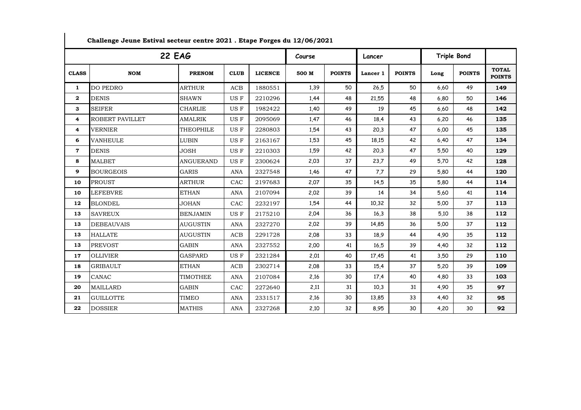| <b>22 EAG</b>  |                   |                  |             |                |       | Course        |          | Lancer        |      | Triple Bond   |                               |
|----------------|-------------------|------------------|-------------|----------------|-------|---------------|----------|---------------|------|---------------|-------------------------------|
| <b>CLASS</b>   | <b>NOM</b>        | <b>PRENOM</b>    | <b>CLUB</b> | <b>LICENCE</b> | 500 M | <b>POINTS</b> | Lancer 1 | <b>POINTS</b> | Long | <b>POINTS</b> | <b>TOTAL</b><br><b>POINTS</b> |
| $\mathbf{1}$   | DO PEDRO          | <b>ARTHUR</b>    | <b>ACB</b>  | 1880551        | 1,39  | 50            | 26.5     | 50            | 6,60 | 49            | 149                           |
| $\mathbf{2}$   | <b>DENIS</b>      | <b>SHAWN</b>     | US F        | 2210296        | 1,44  | 48            | 21,55    | 48            | 6,80 | 50            | 146                           |
| 3              | <b>SEIFER</b>     | <b>CHARLIE</b>   | US F        | 1982422        | 1,40  | 49            | 19       | 45            | 6,60 | 48            | 142                           |
| 4              | ROBERT PAVILLET   | <b>AMALRIK</b>   | US F        | 2095069        | 1,47  | 46            | 18,4     | 43            | 6,20 | 46            | 135                           |
| 4              | <b>VERNIER</b>    | <b>THEOPHILE</b> | US F        | 2280803        | 1,54  | 43            | 20.3     | 47            | 6,00 | 45            | 135                           |
| 6              | <b>VANHEULE</b>   | <b>LUBIN</b>     | US F        | 2163167        | 1,53  | 45            | 18,15    | 42            | 6,40 | 47            | 134                           |
| $\overline{7}$ | <b>DENIS</b>      | <b>JOSH</b>      | US F        | 2210303        | 1,59  | 42            | 20,3     | 47            | 5,50 | 40            | 129                           |
| 8              | <b>MALBET</b>     | <b>ANGUERAND</b> | US F        | 2300624        | 2,03  | 37            | 23,7     | 49            | 5,70 | 42            | 128                           |
| 9              | <b>BOURGEOIS</b>  | <b>GARIS</b>     | <b>ANA</b>  | 2327548        | 1,46  | 47            | 7,7      | 29            | 5,80 | 44            | 120                           |
| 10             | <b>PROUST</b>     | <b>ARTHUR</b>    | CAC         | 2197683        | 2,07  | 35            | 14,5     | 35            | 5,80 | 44            | 114                           |
| 10             | <b>LEFEBVRE</b>   | <b>ETHAN</b>     | <b>ANA</b>  | 2107094        | 2,02  | 39            | 14       | 34            | 5,60 | 41            | 114                           |
| 12             | <b>BLONDEL</b>    | <b>JOHAN</b>     | CAC         | 2232197        | 1,54  | 44            | 10,32    | 32            | 5,00 | 37            | 113                           |
| 13             | <b>SAVREUX</b>    | <b>BENJAMIN</b>  | US F        | 2175210        | 2,04  | 36            | 16.3     | 38            | 5.10 | 38            | 112                           |
| 13             | <b>DEBEAUVAIS</b> | <b>AUGUSTIN</b>  | <b>ANA</b>  | 2327270        | 2,02  | 39            | 14,85    | 36            | 5,00 | 37            | 112                           |
| 13             | <b>HALLATE</b>    | <b>AUGUSTIN</b>  | ACB         | 2291728        | 2,08  | 33            | 18,9     | 44            | 4,90 | 35            | 112                           |
| 13             | <b>PREVOST</b>    | <b>GABIN</b>     | <b>ANA</b>  | 2327552        | 2,00  | 41            | 16.5     | 39            | 4,40 | 32            | 112                           |
| 17             | <b>OLLIVIER</b>   | <b>GASPARD</b>   | US F        | 2321284        | 2,01  | 40            | 17,45    | 41            | 3,50 | 29            | 110                           |
| 18             | <b>GRIBAULT</b>   | <b>ETHAN</b>     | <b>ACB</b>  | 2302714        | 2,08  | 33            | 15,4     | 37            | 5,20 | 39            | 109                           |
| 19             | <b>CANAC</b>      | <b>TIMOTHEE</b>  | <b>ANA</b>  | 2107084        | 2,16  | 30            | 17,4     | 40            | 4,80 | 33            | 103                           |
| 20             | <b>MAILLARD</b>   | <b>GABIN</b>     | CAC         | 2272640        | 2,11  | 31            | 10,3     | 31            | 4,90 | 35            | 97                            |
| 21             | <b>GUILLOTTE</b>  | <b>TIMEO</b>     | <b>ANA</b>  | 2331517        | 2,16  | 30            | 13,85    | 33            | 4,40 | 32            | 95                            |
| 22             | <b>DOSSIER</b>    | <b>MATHIS</b>    | <b>ANA</b>  | 2327268        | 2,10  | 32            | 8,95     | 30            | 4,20 | 30            | 92                            |

**Challenge Jeune Estival secteur centre 2021 . Etape Forges du 12/06/2021**

 $\blacksquare$